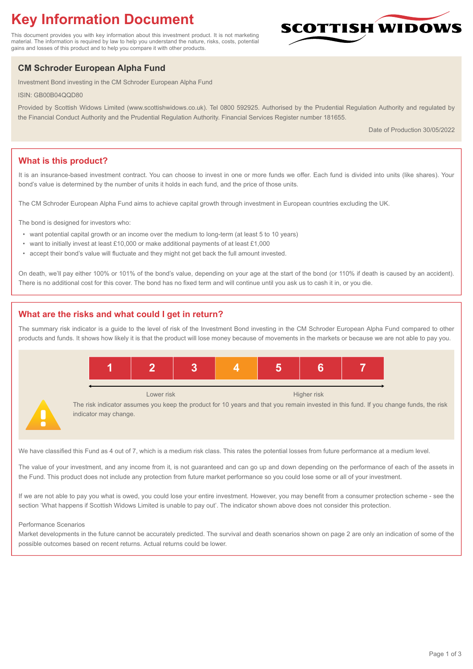# **Key Information Document**

This document provides you with key information about this investment product. It is not marketing material. The information is required by law to help you understand the nature, risks, costs, potential gains and losses of this product and to help you compare it with other products.

## **CM Schroder European Alpha Fund**

Investment Bond investing in the CM Schroder European Alpha Fund

ISIN: GB00B04QQD80

Provided by Scottish Widows Limited (www.scottishwidows.co.uk). Tel 0800 592925. Authorised by the Prudential Regulation Authority and regulated by the Financial Conduct Authority and the Prudential Regulation Authority. Financial Services Register number 181655.

Date of Production 30/05/2022

**SCOTTISH WIDOW** 

## **What is this product?**

It is an insurance-based investment contract. You can choose to invest in one or more funds we offer. Each fund is divided into units (like shares). Your bond's value is determined by the number of units it holds in each fund, and the price of those units.

The CM Schroder European Alpha Fund aims to achieve capital growth through investment in European countries excluding the UK.

The bond is designed for investors who:

- want potential capital growth or an income over the medium to long-term (at least 5 to 10 years)
- want to initially invest at least £10,000 or make additional payments of at least £1,000
- accept their bond's value will fluctuate and they might not get back the full amount invested.

On death, we'll pay either 100% or 101% of the bond's value, depending on your age at the start of the bond (or 110% if death is caused by an accident). There is no additional cost for this cover. The bond has no fixed term and will continue until you ask us to cash it in, or you die.

## **What are the risks and what could I get in return?**

The summary risk indicator is a guide to the level of risk of the Investment Bond investing in the CM Schroder European Alpha Fund compared to other products and funds. It shows how likely it is that the product will lose money because of movements in the markets or because we are not able to pay you.



We have classified this Fund as 4 out of 7, which is a medium risk class. This rates the potential losses from future performance at a medium level.

The value of your investment, and any income from it, is not guaranteed and can go up and down depending on the performance of each of the assets in the Fund. This product does not include any protection from future market performance so you could lose some or all of your investment.

If we are not able to pay you what is owed, you could lose your entire investment. However, you may benefit from a consumer protection scheme - see the section 'What happens if Scottish Widows Limited is unable to pay out'. The indicator shown above does not consider this protection.

#### Performance Scenarios

Market developments in the future cannot be accurately predicted. The survival and death scenarios shown on page 2 are only an indication of some of the possible outcomes based on recent returns. Actual returns could be lower.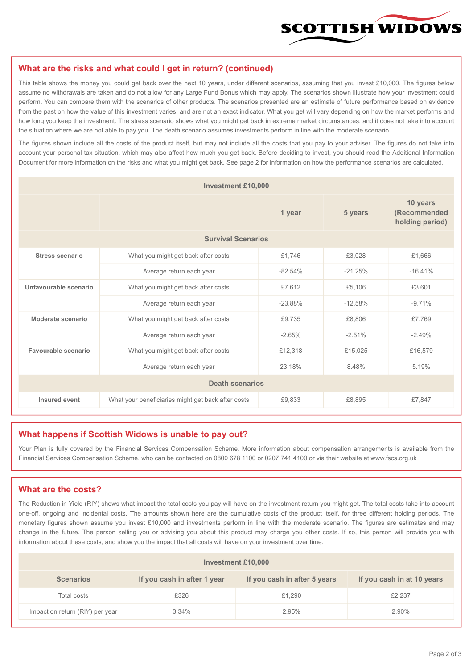

#### **What are the risks and what could I get in return? (continued)**

This table shows the money you could get back over the next 10 years, under different scenarios, assuming that you invest £10,000. The figures below assume no withdrawals are taken and do not allow for any Large Fund Bonus which may apply. The scenarios shown illustrate how your investment could perform. You can compare them with the scenarios of other products. The scenarios presented are an estimate of future performance based on evidence from the past on how the value of this investment varies, and are not an exact indicator. What you get will vary depending on how the market performs and how long you keep the investment. The stress scenario shows what you might get back in extreme market circumstances, and it does not take into account the situation where we are not able to pay you. The death scenario assumes investments perform in line with the moderate scenario.

The figures shown include all the costs of the product itself, but may not include all the costs that you pay to your adviser. The figures do not take into account your personal tax situation, which may also affect how much you get back. Before deciding to invest, you should read the Additional Information Document for more information on the risks and what you might get back. See page 2 for information on how the performance scenarios are calculated.

| <b>Investment £10,000</b> |                                                    |           |           |                                             |  |  |
|---------------------------|----------------------------------------------------|-----------|-----------|---------------------------------------------|--|--|
|                           | 1 year                                             |           | 5 years   | 10 years<br>(Recommended<br>holding period) |  |  |
| <b>Survival Scenarios</b> |                                                    |           |           |                                             |  |  |
| <b>Stress scenario</b>    | What you might get back after costs                | £1,746    | £3,028    | £1,666                                      |  |  |
|                           | Average return each year                           | $-82.54%$ | $-21.25%$ | $-16.41%$                                   |  |  |
| Unfavourable scenario     | What you might get back after costs<br>£7,612      |           | £5,106    | £3,601                                      |  |  |
|                           | Average return each year                           | $-23.88%$ | $-12.58%$ | $-9.71%$                                    |  |  |
| Moderate scenario         | What you might get back after costs                | £9,735    | £8,806    | £7.769                                      |  |  |
|                           | Average return each year                           | $-2.65%$  | $-2.51%$  | $-2.49%$                                    |  |  |
| Favourable scenario       | What you might get back after costs                | £12,318   | £15,025   | £16,579                                     |  |  |
| Average return each year  |                                                    | 23.18%    | 8.48%     | 5.19%                                       |  |  |
| <b>Death scenarios</b>    |                                                    |           |           |                                             |  |  |
| Insured event             | What your beneficiaries might get back after costs | £9,833    | £8.895    | £7,847                                      |  |  |

#### **What happens if Scottish Widows is unable to pay out?**

Your Plan is fully covered by the Financial Services Compensation Scheme. More information about compensation arrangements is available from the Financial Services Compensation Scheme, who can be contacted on 0800 678 1100 or 0207 741 4100 or via their website at www.fscs.org.uk

#### **What are the costs?**

The Reduction in Yield (RIY) shows what impact the total costs you pay will have on the investment return you might get. The total costs take into account one-off, ongoing and incidental costs. The amounts shown here are the cumulative costs of the product itself, for three different holding periods. The monetary figures shown assume you invest £10,000 and investments perform in line with the moderate scenario. The figures are estimates and may change in the future. The person selling you or advising you about this product may charge you other costs. If so, this person will provide you with information about these costs, and show you the impact that all costs will have on your investment over time.

| Investment £10,000              |                             |                              |                            |  |  |  |
|---------------------------------|-----------------------------|------------------------------|----------------------------|--|--|--|
| <b>Scenarios</b>                | If you cash in after 1 year | If you cash in after 5 years | If you cash in at 10 years |  |  |  |
| Total costs                     | £326                        | £1,290                       | £2,237                     |  |  |  |
| Impact on return (RIY) per year | 3.34%                       | 2.95%                        | 2.90%                      |  |  |  |